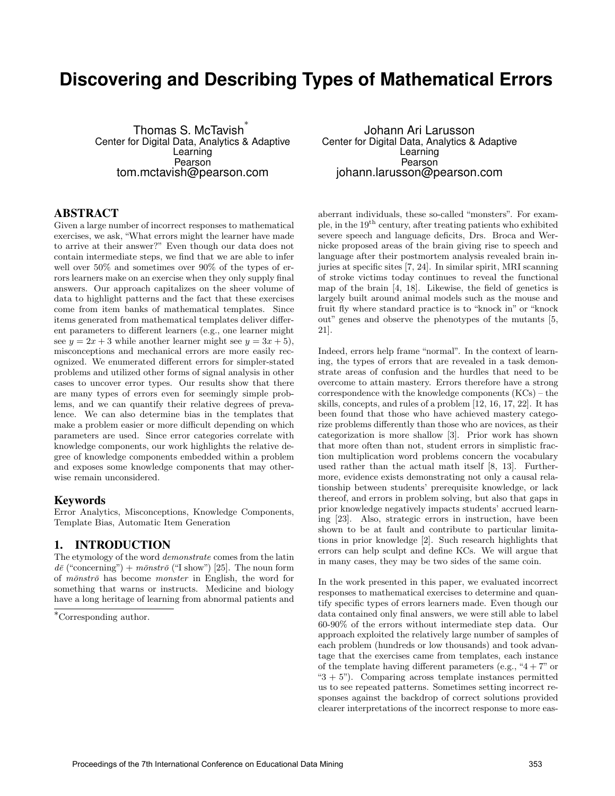# **Discovering and Describing Types of Mathematical Errors**

Thomas S. McTavish<sup>\*</sup> Center for Digital Data, Analytics & Adaptive Learning Pearson tom.mctavish@pearson.com

### ABSTRACT

Given a large number of incorrect responses to mathematical exercises, we ask, "What errors might the learner have made to arrive at their answer?" Even though our data does not contain intermediate steps, we find that we are able to infer well over 50% and sometimes over 90% of the types of errors learners make on an exercise when they only supply final answers. Our approach capitalizes on the sheer volume of data to highlight patterns and the fact that these exercises come from item banks of mathematical templates. Since items generated from mathematical templates deliver different parameters to different learners (e.g., one learner might see  $y = 2x + 3$  while another learner might see  $y = 3x + 5$ , misconceptions and mechanical errors are more easily recognized. We enumerated different errors for simpler-stated problems and utilized other forms of signal analysis in other cases to uncover error types. Our results show that there are many types of errors even for seemingly simple problems, and we can quantify their relative degrees of prevalence. We can also determine bias in the templates that make a problem easier or more difficult depending on which parameters are used. Since error categories correlate with knowledge components, our work highlights the relative degree of knowledge components embedded within a problem and exposes some knowledge components that may otherwise remain unconsidered.

#### Keywords

Error Analytics, Misconceptions, Knowledge Components, Template Bias, Automatic Item Generation

## 1. INTRODUCTION

The etymology of the word demonstrate comes from the latin  $d\bar{e}$  ("concerning") +  $m\bar{o}nstr\bar{o}$  ("I show") [25]. The noun form of  $m\bar{\text{o}}nstr\bar{\text{o}}$  has become *monster* in English, the word for something that warns or instructs. Medicine and biology have a long heritage of learning from abnormal patients and

Johann Ari Larusson Center for Digital Data, Analytics & Adaptive Learning Pearson johann.larusson@pearson.com

aberrant individuals, these so-called "monsters". For example, in the  $19<sup>th</sup>$  century, after treating patients who exhibited severe speech and language deficits, Drs. Broca and Wernicke proposed areas of the brain giving rise to speech and language after their postmortem analysis revealed brain injuries at specific sites [7, 24]. In similar spirit, MRI scanning of stroke victims today continues to reveal the functional map of the brain [4, 18]. Likewise, the field of genetics is largely built around animal models such as the mouse and fruit fly where standard practice is to "knock in" or "knock out" genes and observe the phenotypes of the mutants [5, 21].

Indeed, errors help frame "normal". In the context of learning, the types of errors that are revealed in a task demonstrate areas of confusion and the hurdles that need to be overcome to attain mastery. Errors therefore have a strong correspondence with the knowledge components (KCs) – the skills, concepts, and rules of a problem [12, 16, 17, 22]. It has been found that those who have achieved mastery categorize problems differently than those who are novices, as their categorization is more shallow [3]. Prior work has shown that more often than not, student errors in simplistic fraction multiplication word problems concern the vocabulary used rather than the actual math itself [8, 13]. Furthermore, evidence exists demonstrating not only a causal relationship between students' prerequisite knowledge, or lack thereof, and errors in problem solving, but also that gaps in prior knowledge negatively impacts students' accrued learning [23]. Also, strategic errors in instruction, have been shown to be at fault and contribute to particular limitations in prior knowledge [2]. Such research highlights that errors can help sculpt and define KCs. We will argue that in many cases, they may be two sides of the same coin.

In the work presented in this paper, we evaluated incorrect responses to mathematical exercises to determine and quantify specific types of errors learners made. Even though our data contained only final answers, we were still able to label 60-90% of the errors without intermediate step data. Our approach exploited the relatively large number of samples of each problem (hundreds or low thousands) and took advantage that the exercises came from templates, each instance of the template having different parameters (e.g., " $4 + 7$ " or " $3 + 5$ "). Comparing across template instances permitted us to see repeated patterns. Sometimes setting incorrect responses against the backdrop of correct solutions provided clearer interpretations of the incorrect response to more eas-

<sup>∗</sup>Corresponding author.